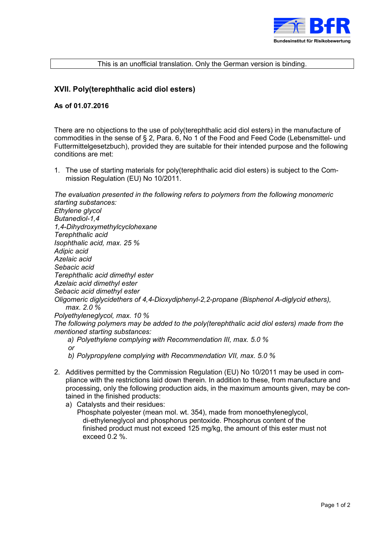

## This is an unofficial translation. Only the German version is binding.

## **XVII. Poly(terephthalic acid diol esters)**

## **As of 01.07.2016**

There are no objections to the use of poly(terephthalic acid diol esters) in the manufacture of commodities in the sense of § 2, Para. 6, No 1 of the Food and Feed Code (Lebensmittel- und Futtermittelgesetzbuch), provided they are suitable for their intended purpose and the following conditions are met:

1. The use of starting materials for poly(terephthalic acid diol esters) is subject to the Commission Regulation (EU) No 10/2011.



*b) Polypropylene complying with Recommendation VII, max. 5.0 %* 

- 2. Additives permitted by the Commission Regulation (EU) No 10/2011 may be used in compliance with the restrictions laid down therein. In addition to these, from manufacture and processing, only the following production aids, in the maximum amounts given, may be contained in the finished products:
	- a) Catalysts and their residues:
		- Phosphate polyester (mean mol. wt. 354), made from monoethyleneglycol, di-ethyleneglycol and phosphorus pentoxide. Phosphorus content of the finished product must not exceed 125 mg/kg, the amount of this ester must not exceed 0.2 %.